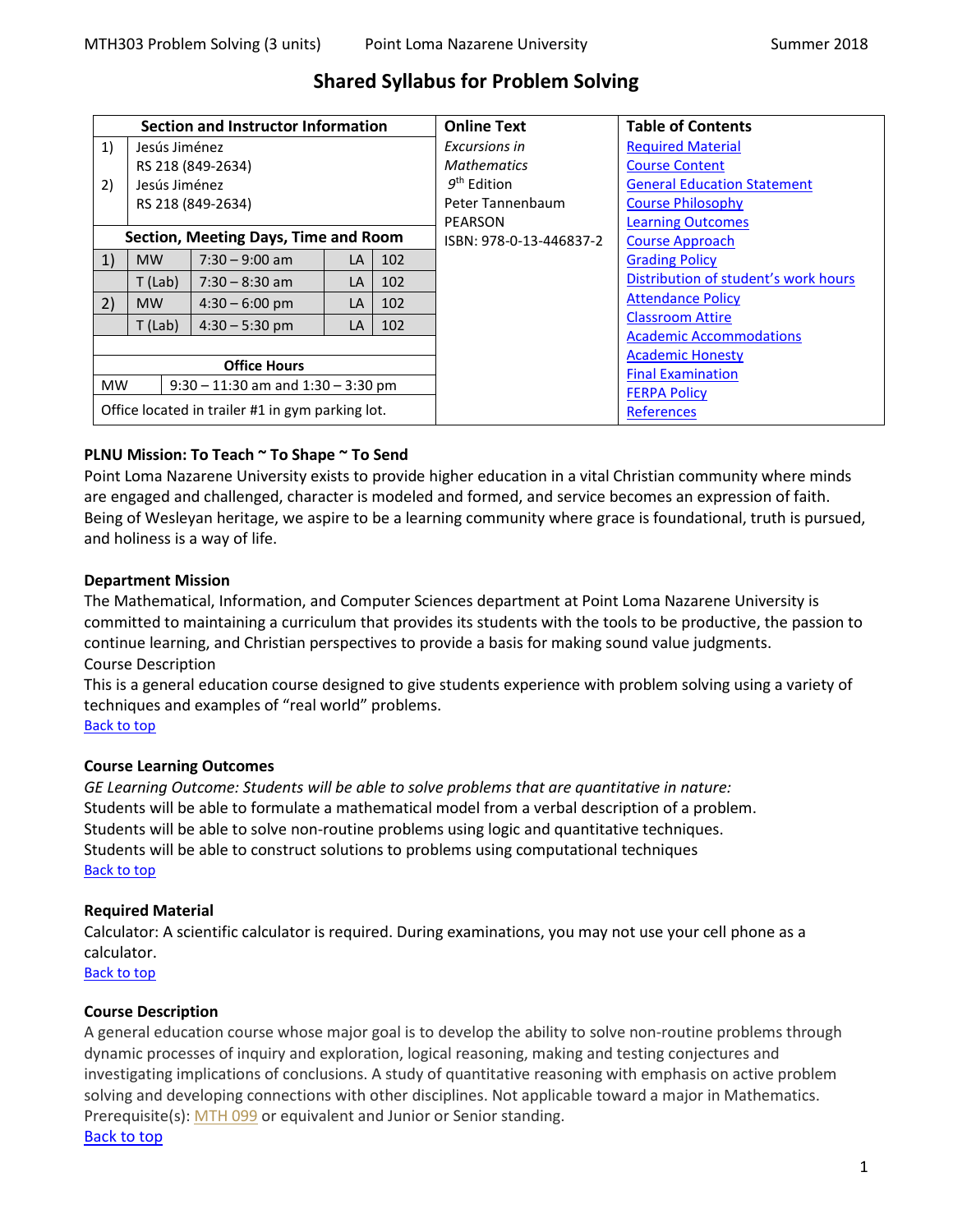# **Shared Syllabus for Problem Solving**

| Section and Instructor Information                  |                                      |                  |    |     | <b>Online Text</b>      | <b>Table of Contents</b>             |
|-----------------------------------------------------|--------------------------------------|------------------|----|-----|-------------------------|--------------------------------------|
| 1)                                                  | Jesús Jiménez                        |                  |    |     | Excursions in           | <b>Required Material</b>             |
|                                                     | RS 218 (849-2634)                    |                  |    |     | <b>Mathematics</b>      | <b>Course Content</b>                |
| 2)                                                  | Jesús Jiménez                        |                  |    |     | $9th$ Edition           | <b>General Education Statement</b>   |
|                                                     | RS 218 (849-2634)                    |                  |    |     | Peter Tannenbaum        | <b>Course Philosophy</b>             |
|                                                     |                                      |                  |    |     | PEARSON                 | <b>Learning Outcomes</b>             |
|                                                     | Section, Meeting Days, Time and Room |                  |    |     | ISBN: 978-0-13-446837-2 | <b>Course Approach</b>               |
| 1)                                                  | <b>MW</b>                            | $7:30 - 9:00$ am | LA | 102 |                         | <b>Grading Policy</b>                |
|                                                     | $T$ (Lab)                            | $7:30 - 8:30$ am | LA | 102 |                         | Distribution of student's work hours |
| 2)                                                  | <b>MW</b>                            | $4:30 - 6:00$ pm | LA | 102 |                         | <b>Attendance Policy</b>             |
|                                                     | $T$ (Lab)                            | $4:30 - 5:30$ pm | LA | 102 |                         | <b>Classroom Attire</b>              |
|                                                     |                                      |                  |    |     |                         | <b>Academic Accommodations</b>       |
|                                                     |                                      |                  |    |     |                         | <b>Academic Honesty</b>              |
|                                                     | <b>Office Hours</b>                  |                  |    |     |                         | <b>Final Examination</b>             |
| <b>MW</b><br>$9:30 - 11:30$ am and $1:30 - 3:30$ pm |                                      |                  |    |     |                         | <b>FERPA Policy</b>                  |
| Office located in trailer #1 in gym parking lot.    |                                      |                  |    |     |                         | <b>References</b>                    |

# <span id="page-0-0"></span>**PLNU Mission: To Teach ~ To Shape ~ To Send**

Point Loma Nazarene University exists to provide higher education in a vital Christian community where minds are engaged and challenged, character is modeled and formed, and service becomes an expression of faith. Being of Wesleyan heritage, we aspire to be a learning community where grace is foundational, truth is pursued, and holiness is a way of life.

# **Department Mission**

The Mathematical, Information, and Computer Sciences department at Point Loma Nazarene University is committed to maintaining a curriculum that provides its students with the tools to be productive, the passion to continue learning, and Christian perspectives to provide a basis for making sound value judgments. Course Description

<span id="page-0-2"></span>This is a general education course designed to give students experience with problem solving using a variety of techniques and examples of "real world" problems. Back to top

# **Course Learning Outcomes**

*GE Learning Outcome: Students will be able to solve problems that are quantitative in nature:* Students will be able to formulate a mathematical model from a verbal description of a problem. Students will be able to solve non-routine problems using logic and quantitative techniques. Students will be able to construct solutions to problems using computational techniques Back to top

# **Required Material**

Calculator: A scientific calculator is required. During examinations, you may not use your cell phone as a calculator.

<span id="page-0-1"></span>Back to top

# **Course Description**

A general education course whose major goal is to develop the ability to solve non-routine problems through dynamic processes of inquiry and exploration, logical reasoning, making and testing conjectures and investigating implications of conclusions. A study of quantitative reasoning with emphasis on active problem solving and developing connections with other disciplines. Not applicable toward a major in Mathematics. Prerequisite(s): [MTH 099](https://catalog.pointloma.edu/content.php?filter%5B27%5D=MTH&filter%5B29%5D=303&filter%5Bcourse_type%5D=-1&filter%5Bkeyword%5D=&filter%5B32%5D=1&filter%5Bcpage%5D=1&cur_cat_oid=28&expand=&navoid=1769&search_database=Filter#tt2386) or equivalent and Junior or Senior standing. Back to top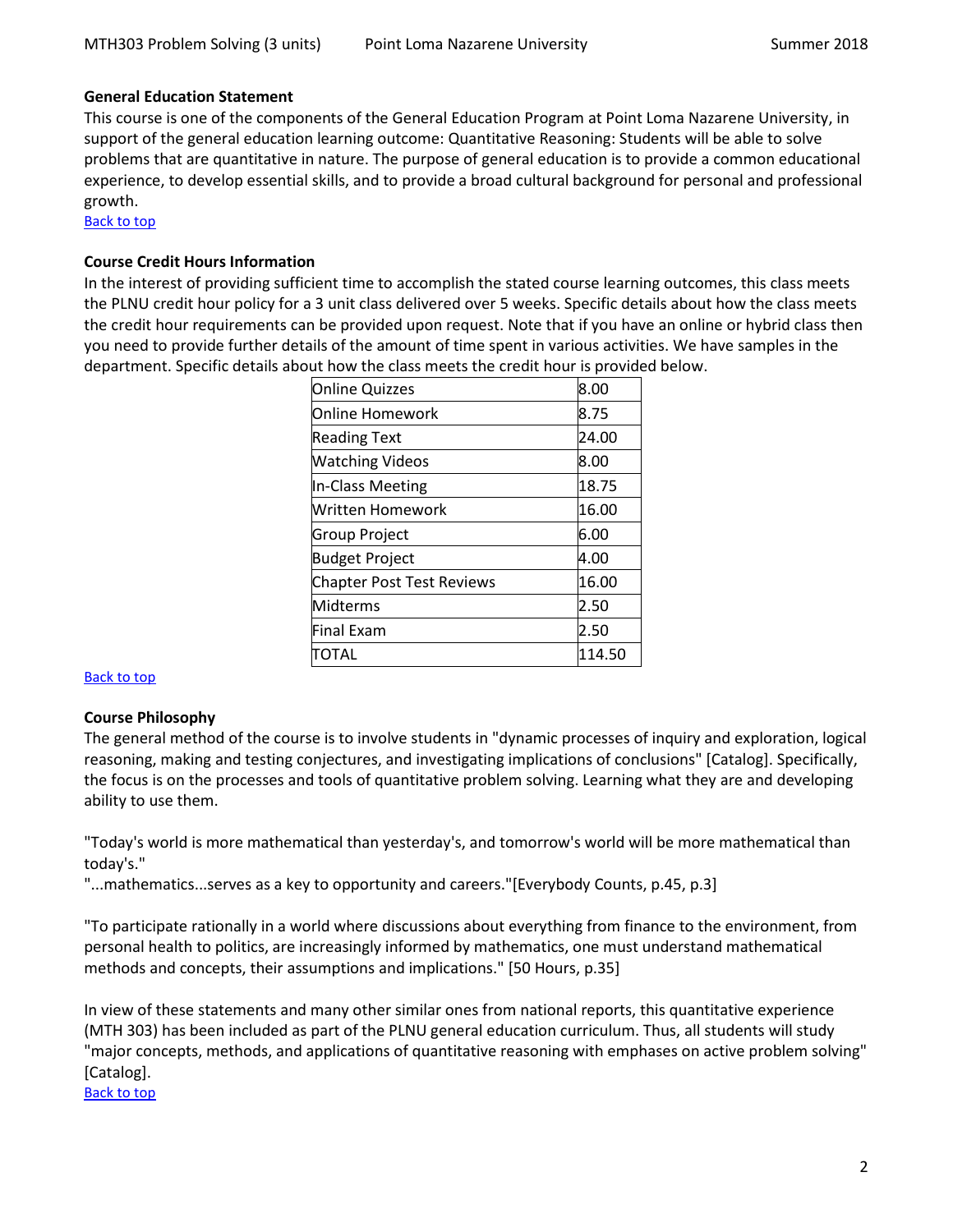## **General Education Statement**

This course is one of the components of the General Education Program at Point Loma Nazarene University, in support of the general education learning outcome: Quantitative Reasoning: Students will be able to solve problems that are quantitative in nature. The purpose of general education is to provide a common educational experience, to develop essential skills, and to provide a broad cultural background for personal and professional growth.

Back to top

## **Course Credit Hours Information**

In the interest of providing sufficient time to accomplish the stated course learning outcomes, this class meets the PLNU credit hour policy for a 3 unit class delivered over 5 weeks. Specific details about how the class meets the credit hour requirements can be provided upon request. Note that if you have an online or hybrid class then you need to provide further details of the amount of time spent in various activities. We have samples in the department. Specific details about how the class meets the credit hour is provided below.

| <b>Online Quizzes</b>            | 8.00   |
|----------------------------------|--------|
| lOnline Homework                 | 8.75   |
| <b>Reading Text</b>              | 24.00  |
| <b>Watching Videos</b>           | 8.00   |
| In-Class Meeting                 | 18.75  |
| Written Homework                 | 16.00  |
| <b>Group Project</b>             | 6.00   |
| <b>Budget Project</b>            | 4.00   |
| <b>Chapter Post Test Reviews</b> | 16.00  |
| Midterms                         | 2.50   |
| Final Exam                       | 2.50   |
| TOTAL                            | 114.50 |

#### Back to top

# <span id="page-1-0"></span>**Course Philosophy**

The general method of the course is to involve students in "dynamic processes of inquiry and exploration, logical reasoning, making and testing conjectures, and investigating implications of conclusions" [Catalog]. Specifically, the focus is on the processes and tools of quantitative problem solving. Learning what they are and developing ability to use them.

"Today's world is more mathematical than yesterday's, and tomorrow's world will be more mathematical than today's."

"...mathematics...serves as a key to opportunity and careers."[Everybody Counts, p.45, p.3]

"To participate rationally in a world where discussions about everything from finance to the environment, from personal health to politics, are increasingly informed by mathematics, one must understand mathematical methods and concepts, their assumptions and implications." [50 Hours, p.35]

In view of these statements and many other similar ones from national reports, this quantitative experience (MTH 303) has been included as part of the PLNU general education curriculum. Thus, all students will study "major concepts, methods, and applications of quantitative reasoning with emphases on active problem solving" [Catalog].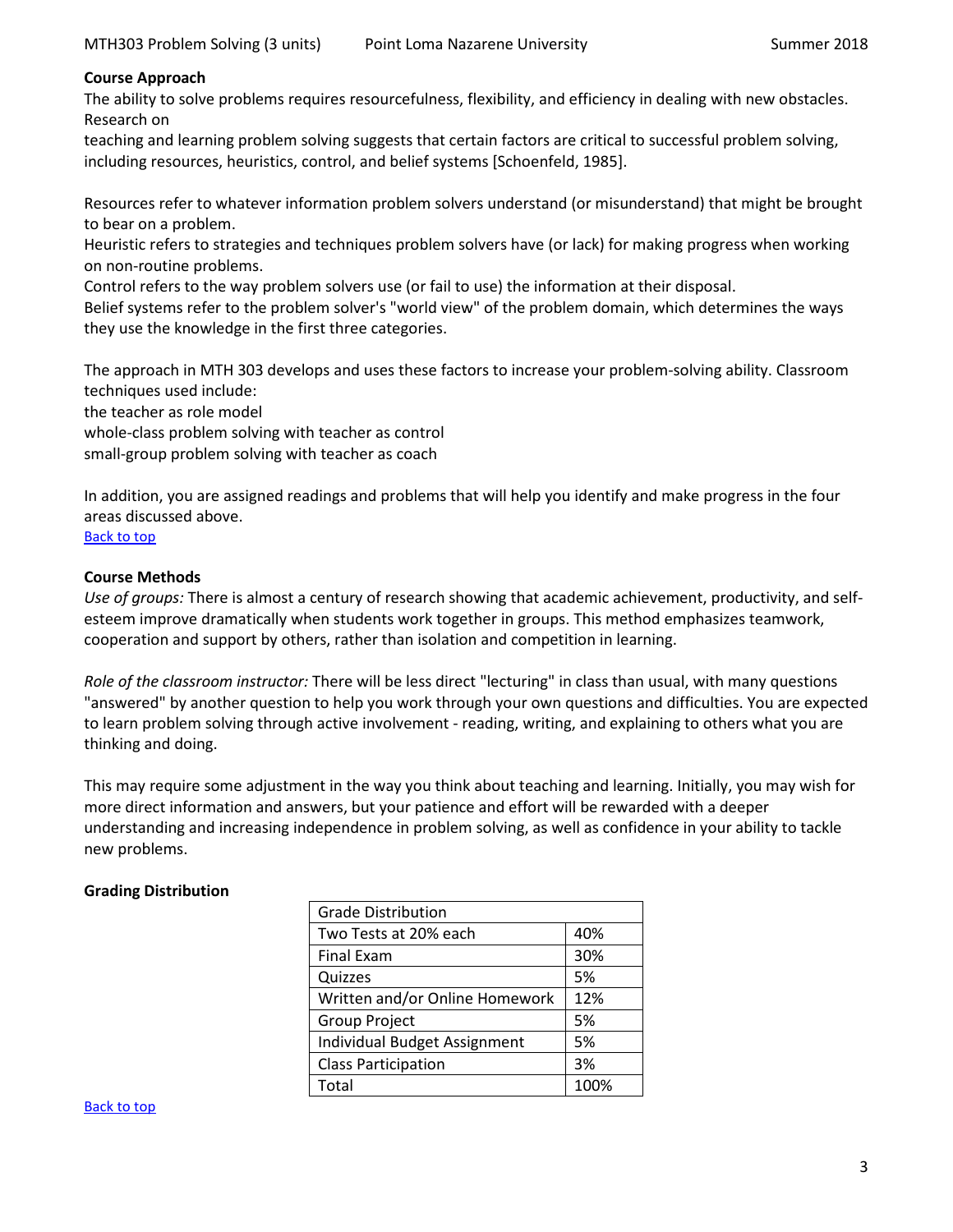## **Course Approach**

The ability to solve problems requires resourcefulness, flexibility, and efficiency in dealing with new obstacles. Research on

teaching and learning problem solving suggests that certain factors are critical to successful problem solving, including resources, heuristics, control, and belief systems [Schoenfeld, 1985].

Resources refer to whatever information problem solvers understand (or misunderstand) that might be brought to bear on a problem.

Heuristic refers to strategies and techniques problem solvers have (or lack) for making progress when working on non-routine problems.

Control refers to the way problem solvers use (or fail to use) the information at their disposal.

Belief systems refer to the problem solver's "world view" of the problem domain, which determines the ways they use the knowledge in the first three categories.

The approach in MTH 303 develops and uses these factors to increase your problem-solving ability. Classroom techniques used include:

the teacher as role model

whole-class problem solving with teacher as control

small-group problem solving with teacher as coach

In addition, you are assigned readings and problems that will help you identify and make progress in the four areas discussed above.

Back to top

### **Course Methods**

*Use of groups:* There is almost a century of research showing that academic achievement, productivity, and selfesteem improve dramatically when students work together in groups. This method emphasizes teamwork, cooperation and support by others, rather than isolation and competition in learning.

*Role of the classroom instructor:* There will be less direct "lecturing" in class than usual, with many questions "answered" by another question to help you work through your own questions and difficulties. You are expected to learn problem solving through active involvement - reading, writing, and explaining to others what you are thinking and doing.

This may require some adjustment in the way you think about teaching and learning. Initially, you may wish for more direct information and answers, but your patience and effort will be rewarded with a deeper understanding and increasing independence in problem solving, as well as confidence in your ability to tackle new problems.

# <span id="page-2-0"></span>**Grading Distribution**

| <b>Grade Distribution</b>      |      |  |  |
|--------------------------------|------|--|--|
| Two Tests at 20% each          | 40%  |  |  |
| <b>Final Exam</b>              | 30%  |  |  |
| Quizzes                        | 5%   |  |  |
| Written and/or Online Homework | 12%  |  |  |
| <b>Group Project</b>           | 5%   |  |  |
| Individual Budget Assignment   | 5%   |  |  |
| <b>Class Participation</b>     | 3%   |  |  |
| Total                          | 100% |  |  |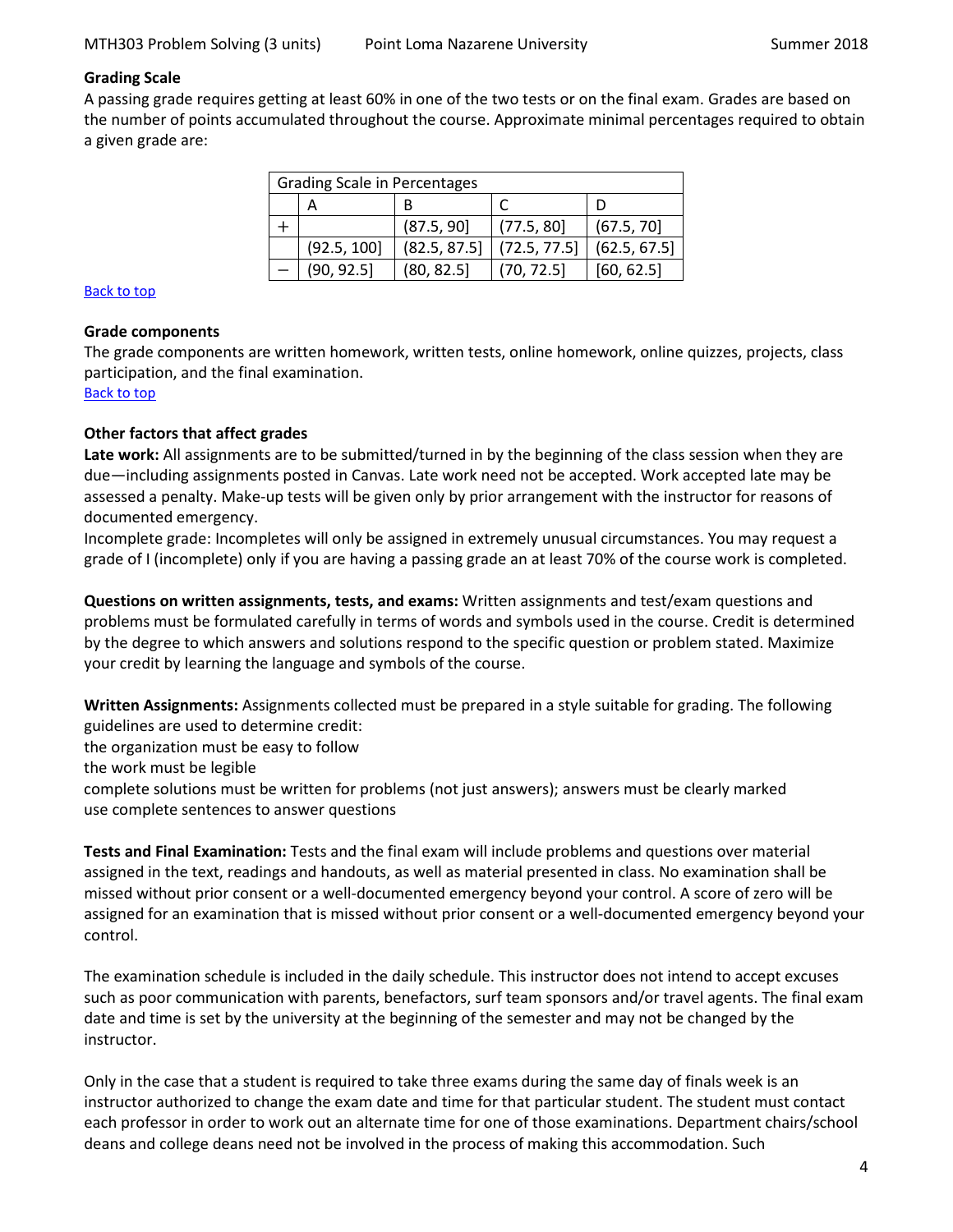### **Grading Scale**

A passing grade requires getting at least 60% in one of the two tests or on the final exam. Grades are based on the number of points accumulated throughout the course. Approximate minimal percentages required to obtain a given grade are:

| <b>Grading Scale in Percentages</b> |             |              |              |              |  |
|-------------------------------------|-------------|--------------|--------------|--------------|--|
|                                     | А           | в            |              |              |  |
|                                     |             | (87.5, 90]   | (77.5, 80)   | (67.5, 70)   |  |
|                                     | (92.5, 100] | (82.5, 87.5) | (72.5, 77.5) | (62.5, 67.5) |  |
|                                     | (90, 92.5)  | (80, 82.5)   | (70, 72.5)   | [60, 62.5]   |  |

#### Back to top

### **Grade components**

The grade components are written homework, written tests, online homework, online quizzes, projects, class participation, and the final examination.

#### Back to top

# **Other factors that affect grades**

**Late work:** All assignments are to be submitted/turned in by the beginning of the class session when they are due—including assignments posted in Canvas. Late work need not be accepted. Work accepted late may be assessed a penalty. Make-up tests will be given only by prior arrangement with the instructor for reasons of documented emergency.

Incomplete grade: Incompletes will only be assigned in extremely unusual circumstances. You may request a grade of I (incomplete) only if you are having a passing grade an at least 70% of the course work is completed.

**Questions on written assignments, tests, and exams:** Written assignments and test/exam questions and problems must be formulated carefully in terms of words and symbols used in the course. Credit is determined by the degree to which answers and solutions respond to the specific question or problem stated. Maximize your credit by learning the language and symbols of the course.

**Written Assignments:** Assignments collected must be prepared in a style suitable for grading. The following guidelines are used to determine credit:

the organization must be easy to follow

the work must be legible

complete solutions must be written for problems (not just answers); answers must be clearly marked use complete sentences to answer questions

**Tests and Final Examination:** Tests and the final exam will include problems and questions over material assigned in the text, readings and handouts, as well as material presented in class. No examination shall be missed without prior consent or a well-documented emergency beyond your control. A score of zero will be assigned for an examination that is missed without prior consent or a well-documented emergency beyond your control.

The examination schedule is included in the daily schedule. This instructor does not intend to accept excuses such as poor communication with parents, benefactors, surf team sponsors and/or travel agents. The final exam date and time is set by the university at the beginning of the semester and may not be changed by the instructor.

Only in the case that a student is required to take three exams during the same day of finals week is an instructor authorized to change the exam date and time for that particular student. The student must contact each professor in order to work out an alternate time for one of those examinations. Department chairs/school deans and college deans need not be involved in the process of making this accommodation. Such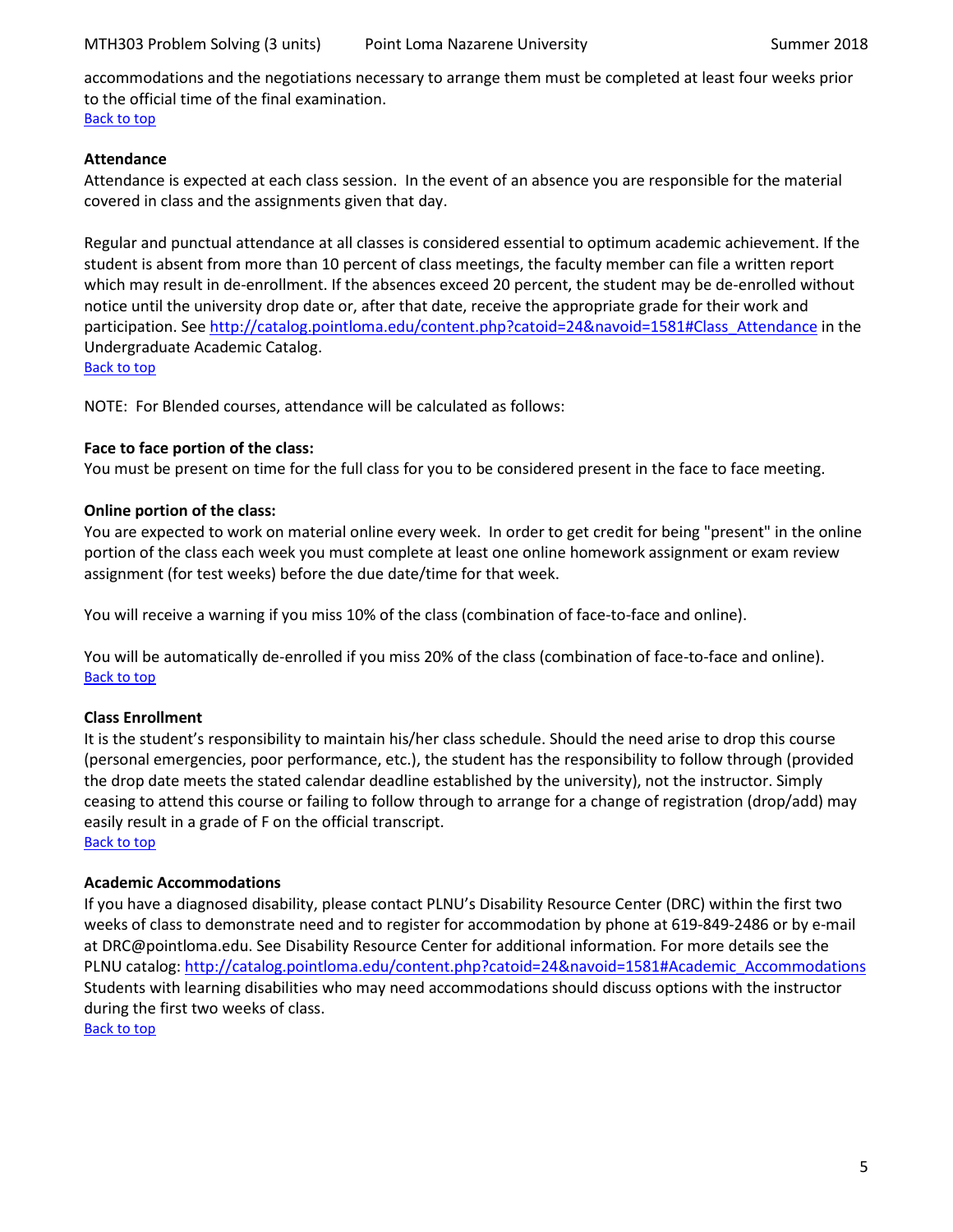accommodations and the negotiations necessary to arrange them must be completed at least four weeks prior to the official time of the final examination. Back to top

### <span id="page-4-0"></span>**Attendance**

Attendance is expected at each class session. In the event of an absence you are responsible for the material covered in class and the assignments given that day.

Regular and punctual attendance at all classes is considered essential to optimum academic achievement. If the student is absent from more than 10 percent of class meetings, the faculty member can file a written report which may result in de-enrollment. If the absences exceed 20 percent, the student may be de-enrolled without notice until the university drop date or, after that date, receive the appropriate grade for their work and participation. See [http://catalog.pointloma.edu/content.php?catoid=24&navoid=1581#Class\\_Attendance](http://catalog.pointloma.edu/content.php?catoid=24&navoid=1581#Class_Attendance) in the Undergraduate Academic Catalog. Back to top

NOTE: For Blended courses, attendance will be calculated as follows:

### **Face to face portion of the class:**

You must be present on time for the full class for you to be considered present in the face to face meeting.

### **Online portion of the class:**

You are expected to work on material online every week. In order to get credit for being "present" in the online portion of the class each week you must complete at least one online homework assignment or exam review assignment (for test weeks) before the due date/time for that week.

You will receive a warning if you miss 10% of the class (combination of face-to-face and online).

You will be automatically de-enrolled if you miss 20% of the class (combination of face-to-face and online). Back to top

# **Class Enrollment**

It is the student's responsibility to maintain his/her class schedule. Should the need arise to drop this course (personal emergencies, poor performance, etc.), the student has the responsibility to follow through (provided the drop date meets the stated calendar deadline established by the university), not the instructor. Simply ceasing to attend this course or failing to follow through to arrange for a change of registration (drop/add) may easily result in a grade of F on the official transcript. Back to top

#### <span id="page-4-1"></span>**Academic Accommodations**

<span id="page-4-2"></span>If you have a diagnosed disability, please contact PLNU's Disability Resource Center (DRC) within the first two weeks of class to demonstrate need and to register for accommodation by phone at 619-849-2486 or by e-mail at DRC@pointloma.edu. See Disability Resource Center for additional information. For more details see the PLNU catalog: [http://catalog.pointloma.edu/content.php?catoid=24&navoid=1581#Academic\\_Accommodations](http://catalog.pointloma.edu/content.php?catoid=24&navoid=1581#Academic_Accommodations) Students with learning disabilities who may need accommodations should discuss options with the instructor during the first two weeks of class.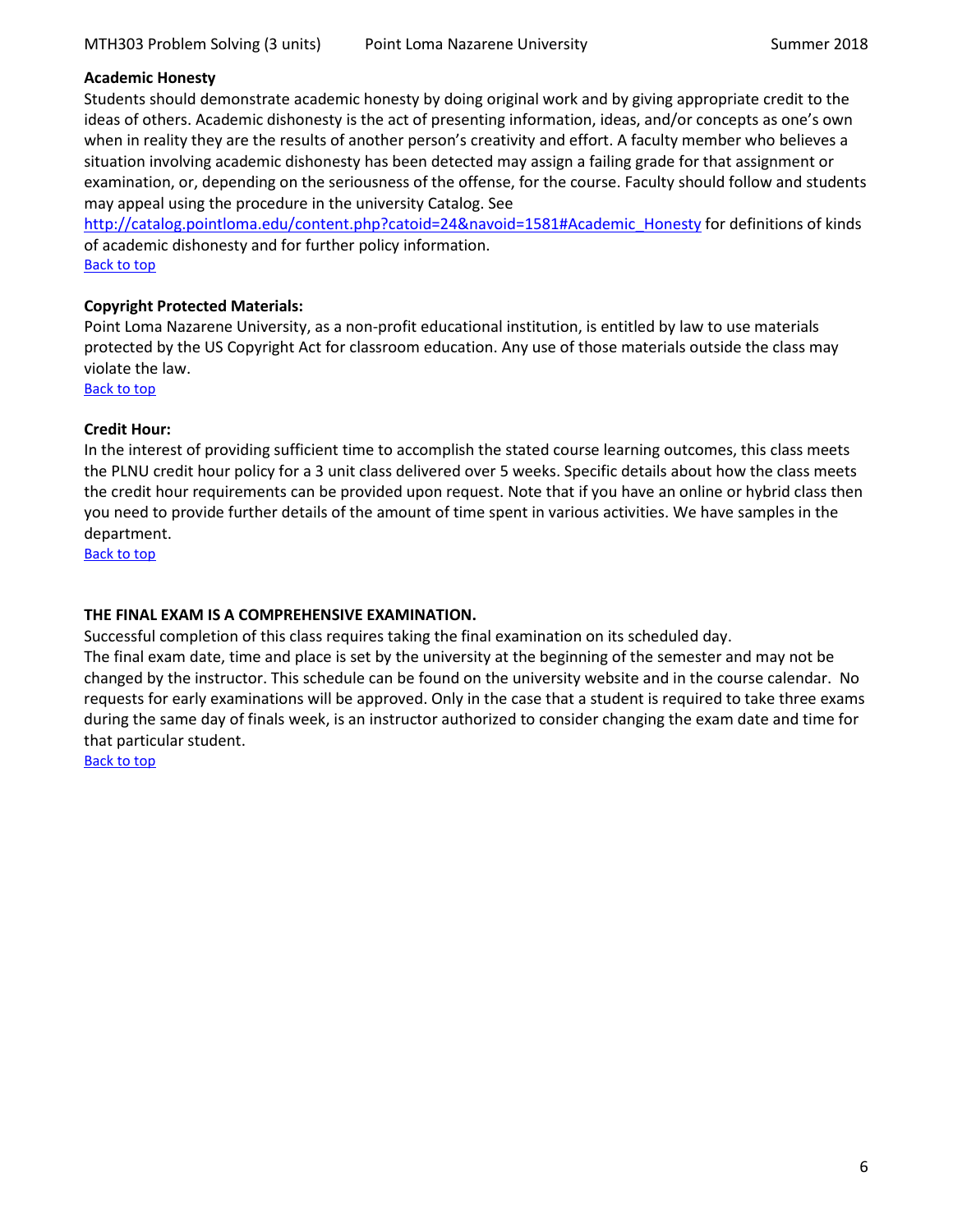#### **Academic Honesty**

Students should demonstrate academic honesty by doing original work and by giving appropriate credit to the ideas of others. Academic dishonesty is the act of presenting information, ideas, and/or concepts as one's own when in reality they are the results of another person's creativity and effort. A faculty member who believes a situation involving academic dishonesty has been detected may assign a failing grade for that assignment or examination, or, depending on the seriousness of the offense, for the course. Faculty should follow and students may appeal using the procedure in the university Catalog. See

[http://catalog.pointloma.edu/content.php?catoid=24&navoid=1581#Academic\\_Honesty](http://catalog.pointloma.edu/content.php?catoid=24&navoid=1581#Academic_Honesty) for definitions of kinds of academic dishonesty and for further policy information.

Back to top

## **Copyright Protected Materials:**

Point Loma Nazarene University, as a non-profit educational institution, is entitled by law to use materials protected by the US Copyright Act for classroom education. Any use of those materials outside the class may violate the law.

<span id="page-5-1"></span>Back to top

### **Credit Hour:**

In the interest of providing sufficient time to accomplish the stated course learning outcomes, this class meets the PLNU credit hour policy for a 3 unit class delivered over 5 weeks. Specific details about how the class meets the credit hour requirements can be provided upon request. Note that if you have an online or hybrid class then you need to provide further details of the amount of time spent in various activities. We have samples in the department.

Back to top

# <span id="page-5-0"></span>**THE FINAL EXAM IS A COMPREHENSIVE EXAMINATION.**

Successful completion of this class requires taking the final examination on its scheduled day. The final exam date, time and place is set by the university at the beginning of the semester and may not be changed by the instructor. This schedule can be found on the university website and in the course calendar. No requests for early examinations will be approved. Only in the case that a student is required to take three exams

during the same day of finals week, is an instructor authorized to consider changing the exam date and time for

that particular student. Back to top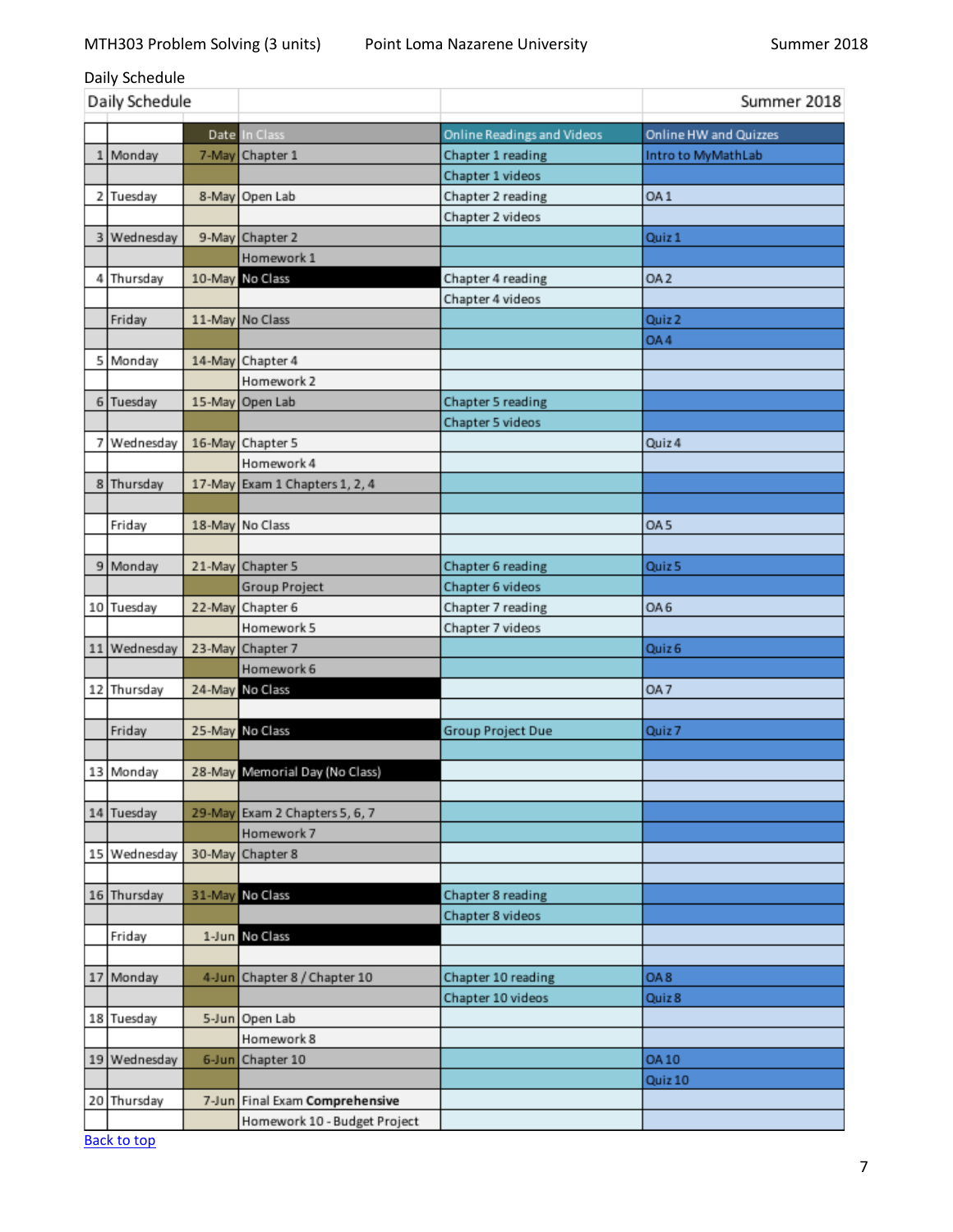|    | Daily Schedule |        |                                |                            |                       |
|----|----------------|--------|--------------------------------|----------------------------|-----------------------|
|    | Daily Schedule |        |                                |                            | Summer 2018           |
|    |                |        | Date In Class                  | Online Readings and Videos | Online HW and Quizzes |
| 1  | Monday         |        | 7-May Chapter 1                | Chapter 1 reading          | Intro to MyMathLab    |
|    |                |        |                                | Chapter 1 videos           |                       |
|    | 2 Tuesday      |        | 8-May Open Lab                 | Chapter 2 reading          | OA <sub>1</sub>       |
|    |                |        |                                | Chapter 2 videos           |                       |
| 3  | Wednesday      |        | 9-May Chapter 2                |                            | Quiz 1                |
|    |                |        | Homework 1                     |                            |                       |
| 4  | Thursday       |        | 10-May No Class                | Chapter 4 reading          | OA <sub>2</sub>       |
|    |                |        |                                | Chapter 4 videos           |                       |
|    | Friday         |        | 11-May No Class                |                            | Quiz <sub>2</sub>     |
|    |                |        |                                |                            | OA4                   |
|    | 5 Monday       |        | 14-May Chapter 4               |                            |                       |
|    |                |        | Homework 2                     |                            |                       |
|    | 6 Tuesday      |        | 15-May Open Lab                | Chapter 5 reading          |                       |
|    |                |        |                                | Chapter 5 videos           |                       |
| 7  | Wednesday      |        | 16-May Chapter 5               |                            | Quiz 4                |
|    |                |        | Homework 4                     |                            |                       |
|    | 8 Thursday     |        | 17-May Exam 1 Chapters 1, 2, 4 |                            |                       |
|    |                |        |                                |                            |                       |
|    | Friday         |        | 18-May No Class                |                            | OA <sub>5</sub>       |
|    |                |        |                                |                            |                       |
|    | 9 Monday       |        | 21-May Chapter 5               | Chapter 6 reading          | Quiz 5                |
|    |                |        | Group Project                  | Chapter 6 videos           |                       |
|    | 10 Tuesday     |        | 22-May Chapter 6               | Chapter 7 reading          | OA <sub>6</sub>       |
|    |                |        | Homework 5                     | Chapter 7 videos           |                       |
| 11 | Wednesday      |        | 23-May Chapter 7               |                            | Quiz <sub>6</sub>     |
|    |                |        | Homework 6                     |                            |                       |
|    | 12 Thursday    |        | 24-May No Class                |                            | OA7                   |
|    |                |        |                                |                            |                       |
|    | Friday         |        | 25-May No Class                | Group Project Due          | Quiz 7                |
|    |                |        |                                |                            |                       |
|    | 13 Monday      |        | 28-May Memorial Day (No Class) |                            |                       |
|    |                |        |                                |                            |                       |
|    | 14 Tuesday     | 29-May | Exam 2 Chapters 5, 6, 7        |                            |                       |
|    |                |        | Homework 7                     |                            |                       |
|    | 15 Wednesday   |        | 30-May Chapter 8               |                            |                       |
|    |                |        |                                |                            |                       |
|    | 16 Thursday    |        | 31-May No Class                | Chapter 8 reading          |                       |
|    |                |        |                                | Chapter 8 videos           |                       |
|    | Friday         |        | 1-Jun No Class                 |                            |                       |
|    |                |        |                                |                            |                       |
| 17 | Monday         |        | 4-Jun Chapter 8 / Chapter 10   | Chapter 10 reading         | 8 AO                  |
|    |                |        |                                | Chapter 10 videos          | Quiz 8                |
|    | 18 Tuesday     |        | 5-Jun Open Lab                 |                            |                       |
|    |                |        | Homework 8                     |                            |                       |
|    | 19 Wednesday   |        | 6-Jun Chapter 10               |                            | OA 10                 |
|    |                |        |                                |                            | Quiz 10               |
|    | 20 Thursday    |        | 7-Jun Final Exam Comprehensive |                            |                       |
|    |                |        | Homework 10 - Budget Project   |                            |                       |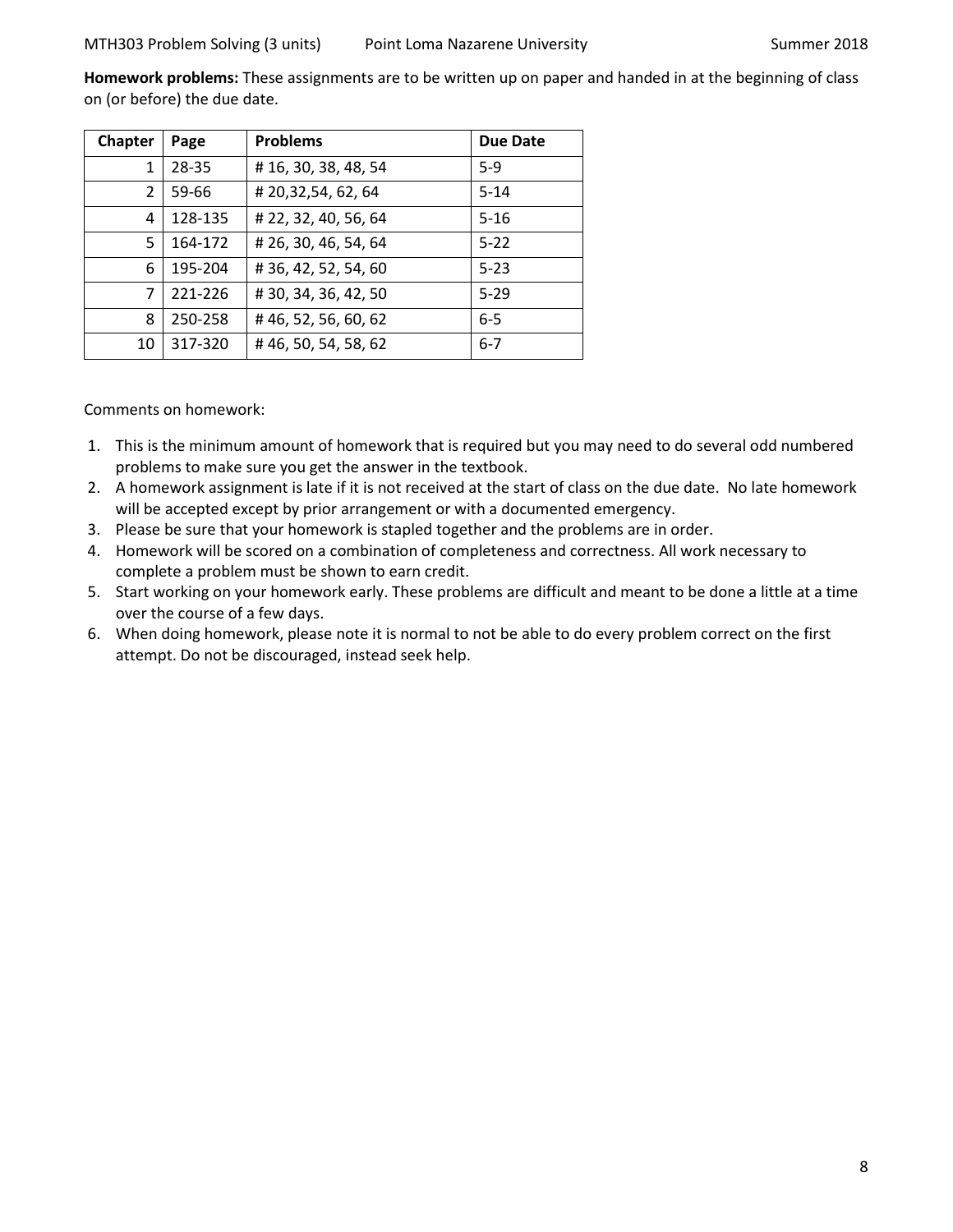<span id="page-7-0"></span>**Homework problems:** These assignments are to be written up on paper and handed in at the beginning of class on (or before) the due date.

| <b>Chapter</b><br>Page |         | <b>Problems</b>      | <b>Due Date</b> |
|------------------------|---------|----------------------|-----------------|
| 1                      | 28-35   | #16, 30, 38, 48, 54  | $5-9$           |
| $\overline{2}$         | 59-66   | #20,32,54,62,64      | $5 - 14$        |
| 4                      | 128-135 | # 22, 32, 40, 56, 64 | $5 - 16$        |
| 5                      | 164-172 | #26,30,46,54,64      | $5 - 22$        |
| 6                      | 195-204 | #36, 42, 52, 54, 60  | $5 - 23$        |
| 7                      | 221-226 | # 30, 34, 36, 42, 50 | $5 - 29$        |
| 8                      | 250-258 | #46,52,56,60,62      | $6 - 5$         |
| 10                     | 317-320 | #46,50,54,58,62      | $6 - 7$         |

Comments on homework:

- 1. This is the minimum amount of homework that is required but you may need to do several odd numbered problems to make sure you get the answer in the textbook.
- 2. A homework assignment is late if it is not received at the start of class on the due date. No late homework will be accepted except by prior arrangement or with a documented emergency.
- 3. Please be sure that your homework is stapled together and the problems are in order.
- 4. Homework will be scored on a combination of completeness and correctness. All work necessary to complete a problem must be shown to earn credit.
- 5. Start working on your homework early. These problems are difficult and meant to be done a little at a time over the course of a few days.
- 6. When doing homework, please note it is normal to not be able to do every problem correct on the first attempt. Do not be discouraged, instead seek help.